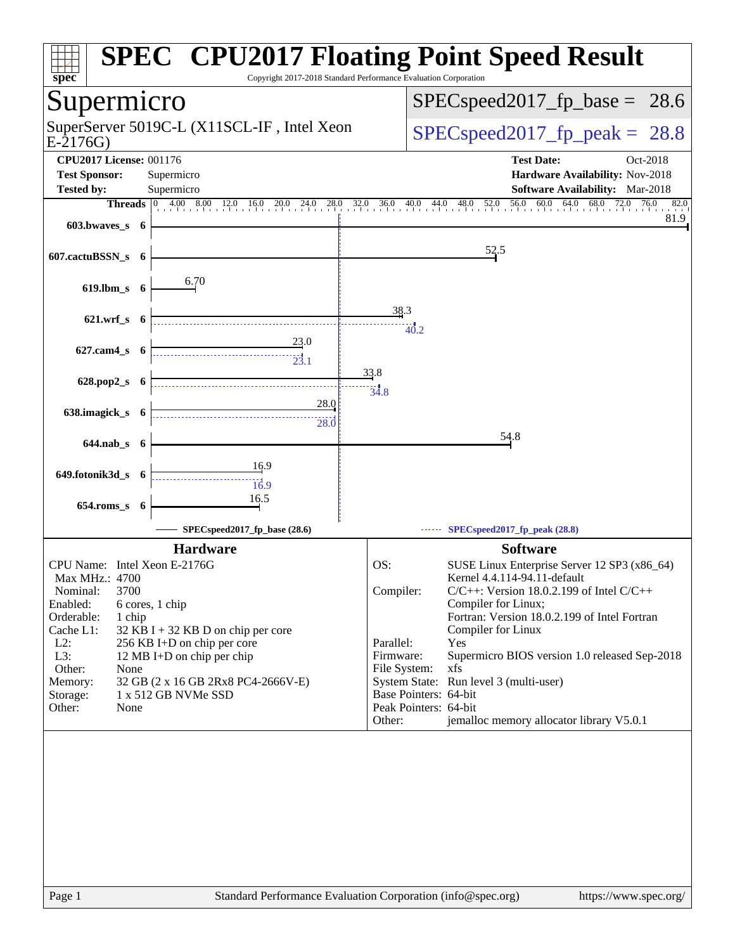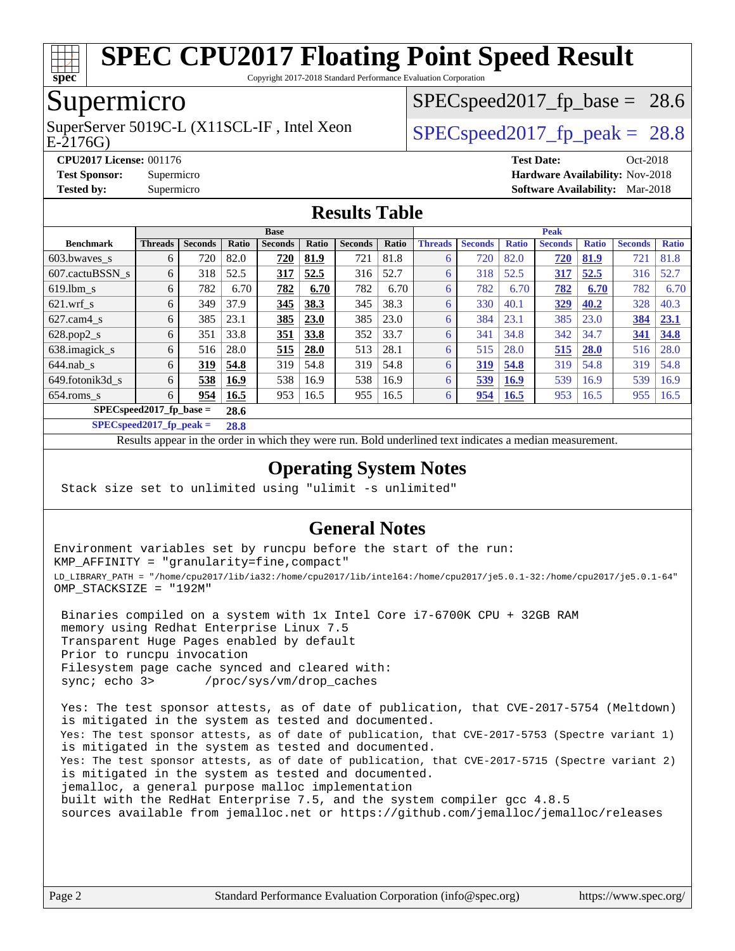

Copyright 2017-2018 Standard Performance Evaluation Corporation

# Supermicro

E-2176G) SuperServer 5019C-L (X11SCL-IF, Intel Xeon  $SPEC speed2017$  fp\_peak = 28.8

 $SPECspeed2017<sub>fp</sub> base = 28.6$ 

**[CPU2017 License:](http://www.spec.org/auto/cpu2017/Docs/result-fields.html#CPU2017License)** 001176 **[Test Date:](http://www.spec.org/auto/cpu2017/Docs/result-fields.html#TestDate)** Oct-2018 **[Test Sponsor:](http://www.spec.org/auto/cpu2017/Docs/result-fields.html#TestSponsor)** Supermicro **[Hardware Availability:](http://www.spec.org/auto/cpu2017/Docs/result-fields.html#HardwareAvailability)** Nov-2018 **[Tested by:](http://www.spec.org/auto/cpu2017/Docs/result-fields.html#Testedby)** Supermicro **[Software Availability:](http://www.spec.org/auto/cpu2017/Docs/result-fields.html#SoftwareAvailability)** Mar-2018

### **[Results Table](http://www.spec.org/auto/cpu2017/Docs/result-fields.html#ResultsTable)**

|                            | <b>Base</b>    |                |       |                |       |                | <b>Peak</b> |                |                |              |                |              |                |              |
|----------------------------|----------------|----------------|-------|----------------|-------|----------------|-------------|----------------|----------------|--------------|----------------|--------------|----------------|--------------|
| <b>Benchmark</b>           | <b>Threads</b> | <b>Seconds</b> | Ratio | <b>Seconds</b> | Ratio | <b>Seconds</b> | Ratio       | <b>Threads</b> | <b>Seconds</b> | <b>Ratio</b> | <b>Seconds</b> | <b>Ratio</b> | <b>Seconds</b> | <b>Ratio</b> |
| 603.bwayes s               | 6              | 720            | 82.0  | 720            | 81.9  | 721            | 81.8        | 6              | 720            | 82.0         | 720            | 81.9         | 721            | 81.8         |
| 607.cactuBSSN s            | 6              | 318            | 52.5  | <u>317</u>     | 52.5  | 316            | 52.7        | 6              | 318            | 52.5         | 317            | 52.5         | 316            | 52.7         |
| $619.1$ bm s               | 6              | 782            | 6.70  | 782            | 6.70  | 782            | 6.70        | 6              | 782            | 6.70         | 782            | 6.70         | 782            | 6.70         |
| $621$ .wrf s               | 6              | 349            | 37.9  | 345            | 38.3  | 345            | 38.3        | 6              | 330            | 40.1         | 329            | 40.2         | 328            | 40.3         |
| $627$ .cam $4$ s           | 6              | 385            | 23.1  | 385            | 23.0  | 385            | 23.0        | 6              | 384            | 23.1         | 385            | 23.0         | 384            | 23.1         |
| $628.pop2_s$               | 6              | 351            | 33.8  | 351            | 33.8  | 352            | 33.7        | 6              | 341            | 34.8         | 342            | 34.7         | 341            | 34.8         |
| 638.imagick_s              | 6              | 516            | 28.0  | 515            | 28.0  | 513            | 28.1        | 6              | 515            | 28.0         | 515            | 28.0         | 516            | 28.0         |
| $644$ .nab s               | 6              | 319            | 54.8  | 319            | 54.8  | 319            | 54.8        | 6              | 319            | 54.8         | 319            | 54.8         | 319            | 54.8         |
| 649.fotonik3d s            | 6              | 538            | 16.9  | 538            | 16.9  | 538            | 16.9        | 6              | 539            | <b>16.9</b>  | 539            | 16.9         | 539            | 16.9         |
| $654$ .roms s              | 6              | 954            | 16.5  | 953            | 16.5  | 955            | 16.5        | 6              | 954            | <b>16.5</b>  | 953            | 16.5         | 955            | 16.5         |
| $SPEC speed2017$ fp base = |                |                | 28.6  |                |       |                |             |                |                |              |                |              |                |              |

**[SPECspeed2017\\_fp\\_peak =](http://www.spec.org/auto/cpu2017/Docs/result-fields.html#SPECspeed2017fppeak) 28.8**

Results appear in the [order in which they were run.](http://www.spec.org/auto/cpu2017/Docs/result-fields.html#RunOrder) Bold underlined text [indicates a median measurement](http://www.spec.org/auto/cpu2017/Docs/result-fields.html#Median).

### **[Operating System Notes](http://www.spec.org/auto/cpu2017/Docs/result-fields.html#OperatingSystemNotes)**

Stack size set to unlimited using "ulimit -s unlimited"

#### **[General Notes](http://www.spec.org/auto/cpu2017/Docs/result-fields.html#GeneralNotes)**

Environment variables set by runcpu before the start of the run: KMP\_AFFINITY = "granularity=fine,compact" LD\_LIBRARY\_PATH = "/home/cpu2017/lib/ia32:/home/cpu2017/lib/intel64:/home/cpu2017/je5.0.1-32:/home/cpu2017/je5.0.1-64" OMP\_STACKSIZE = "192M"

 Binaries compiled on a system with 1x Intel Core i7-6700K CPU + 32GB RAM memory using Redhat Enterprise Linux 7.5 Transparent Huge Pages enabled by default Prior to runcpu invocation Filesystem page cache synced and cleared with: sync; echo 3> /proc/sys/vm/drop\_caches

 Yes: The test sponsor attests, as of date of publication, that CVE-2017-5754 (Meltdown) is mitigated in the system as tested and documented. Yes: The test sponsor attests, as of date of publication, that CVE-2017-5753 (Spectre variant 1) is mitigated in the system as tested and documented. Yes: The test sponsor attests, as of date of publication, that CVE-2017-5715 (Spectre variant 2) is mitigated in the system as tested and documented. jemalloc, a general purpose malloc implementation built with the RedHat Enterprise 7.5, and the system compiler gcc 4.8.5 sources available from jemalloc.net or <https://github.com/jemalloc/jemalloc/releases>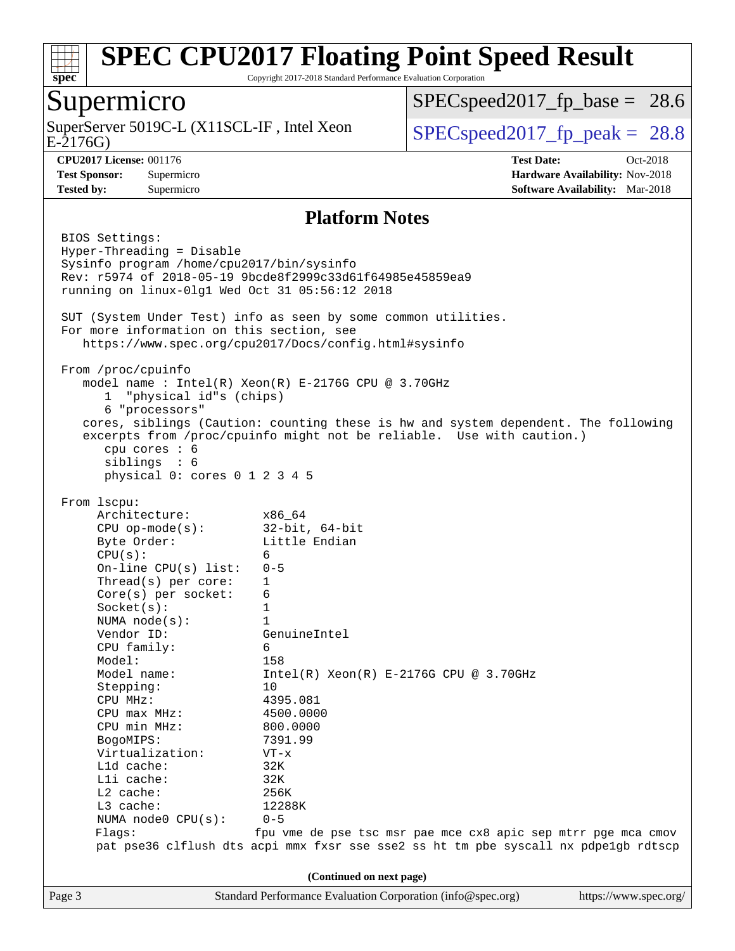

Copyright 2017-2018 Standard Performance Evaluation Corporation

### Supermicro

E-2176G) SuperServer 5019C-L (X11SCL-IF, Intel Xeon  $SPEC speed2017_fp\_peak = 28.8$ 

 $SPECspeed2017<sub>fp</sub> base = 28.6$ 

**[Tested by:](http://www.spec.org/auto/cpu2017/Docs/result-fields.html#Testedby)** Supermicro **[Software Availability:](http://www.spec.org/auto/cpu2017/Docs/result-fields.html#SoftwareAvailability)** Mar-2018

**[CPU2017 License:](http://www.spec.org/auto/cpu2017/Docs/result-fields.html#CPU2017License)** 001176 **[Test Date:](http://www.spec.org/auto/cpu2017/Docs/result-fields.html#TestDate)** Oct-2018 **[Test Sponsor:](http://www.spec.org/auto/cpu2017/Docs/result-fields.html#TestSponsor)** Supermicro **[Hardware Availability:](http://www.spec.org/auto/cpu2017/Docs/result-fields.html#HardwareAvailability)** Nov-2018

#### **[Platform Notes](http://www.spec.org/auto/cpu2017/Docs/result-fields.html#PlatformNotes)**

Page 3 Standard Performance Evaluation Corporation [\(info@spec.org\)](mailto:info@spec.org) <https://www.spec.org/> BIOS Settings: Hyper-Threading = Disable Sysinfo program /home/cpu2017/bin/sysinfo Rev: r5974 of 2018-05-19 9bcde8f2999c33d61f64985e45859ea9 running on linux-0lg1 Wed Oct 31 05:56:12 2018 SUT (System Under Test) info as seen by some common utilities. For more information on this section, see <https://www.spec.org/cpu2017/Docs/config.html#sysinfo> From /proc/cpuinfo model name : Intel(R) Xeon(R) E-2176G CPU @ 3.70GHz 1 "physical id"s (chips) 6 "processors" cores, siblings (Caution: counting these is hw and system dependent. The following excerpts from /proc/cpuinfo might not be reliable. Use with caution.) cpu cores : 6 siblings : 6 physical 0: cores 0 1 2 3 4 5 From lscpu: Architecture: x86\_64 CPU op-mode(s): 32-bit, 64-bit Byte Order: Little Endian  $CPU(s):$  6 On-line CPU(s) list: 0-5 Thread(s) per core: 1 Core(s) per socket: 6 Socket(s): 1 NUMA node(s): 1 Vendor ID: GenuineIntel CPU family: 6 Model: 158 Model name:  $Intel(R)$  Xeon(R) E-2176G CPU @ 3.70GHz Stepping: 10 CPU MHz: 4395.081 CPU max MHz: 4500.0000 CPU min MHz: 800.0000 BogoMIPS: 7391.99 Virtualization: VT-x L1d cache: 32K L1i cache: 32K L2 cache: 256K L3 cache: 12288K NUMA node0 CPU(s): 0-5 Flags: fpu vme de pse tsc msr pae mce cx8 apic sep mtrr pge mca cmov pat pse36 clflush dts acpi mmx fxsr sse sse2 ss ht tm pbe syscall nx pdpe1gb rdtscp **(Continued on next page)**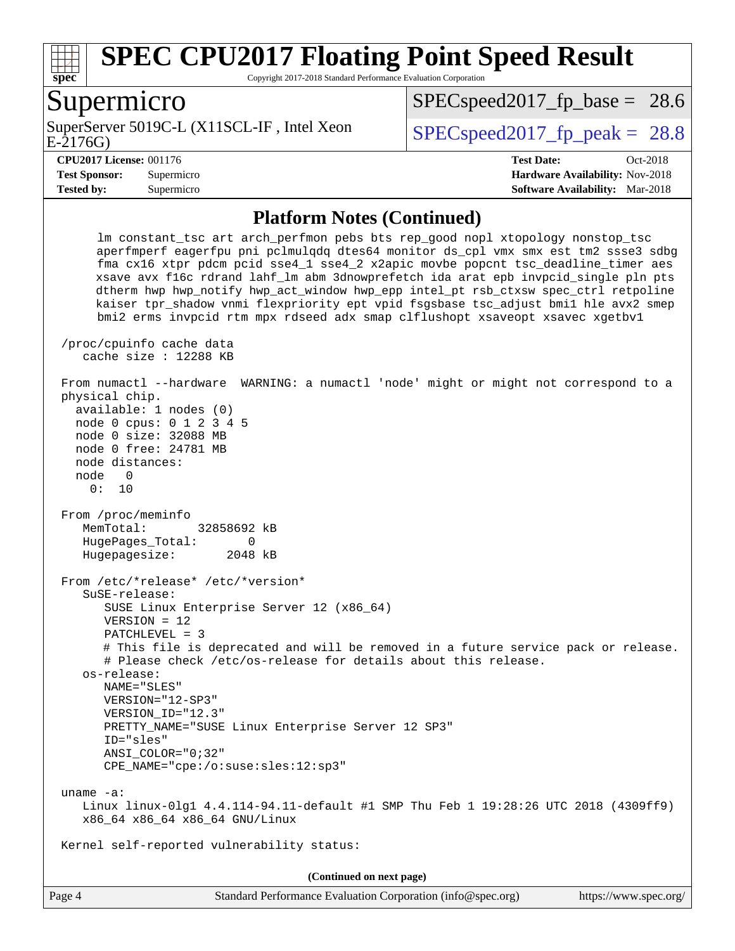

Copyright 2017-2018 Standard Performance Evaluation Corporation

### Supermicro

E-2176G) SuperServer 5019C-L (X11SCL-IF, Intel Xeon  $SPEC speed2017$  fp\_peak = 28.8

 $SPECspeed2017<sub>fp</sub> base = 28.6$ 

**[Tested by:](http://www.spec.org/auto/cpu2017/Docs/result-fields.html#Testedby)** Supermicro **[Software Availability:](http://www.spec.org/auto/cpu2017/Docs/result-fields.html#SoftwareAvailability)** Mar-2018

**[CPU2017 License:](http://www.spec.org/auto/cpu2017/Docs/result-fields.html#CPU2017License)** 001176 **[Test Date:](http://www.spec.org/auto/cpu2017/Docs/result-fields.html#TestDate)** Oct-2018 **[Test Sponsor:](http://www.spec.org/auto/cpu2017/Docs/result-fields.html#TestSponsor)** Supermicro **[Hardware Availability:](http://www.spec.org/auto/cpu2017/Docs/result-fields.html#HardwareAvailability)** Nov-2018

#### **[Platform Notes \(Continued\)](http://www.spec.org/auto/cpu2017/Docs/result-fields.html#PlatformNotes)**

 lm constant\_tsc art arch\_perfmon pebs bts rep\_good nopl xtopology nonstop\_tsc aperfmperf eagerfpu pni pclmulqdq dtes64 monitor ds\_cpl vmx smx est tm2 ssse3 sdbg fma cx16 xtpr pdcm pcid sse4\_1 sse4\_2 x2apic movbe popcnt tsc\_deadline\_timer aes xsave avx f16c rdrand lahf\_lm abm 3dnowprefetch ida arat epb invpcid\_single pln pts dtherm hwp hwp\_notify hwp\_act\_window hwp\_epp intel\_pt rsb\_ctxsw spec\_ctrl retpoline kaiser tpr\_shadow vnmi flexpriority ept vpid fsgsbase tsc\_adjust bmi1 hle avx2 smep bmi2 erms invpcid rtm mpx rdseed adx smap clflushopt xsaveopt xsavec xgetbv1 /proc/cpuinfo cache data cache size : 12288 KB From numactl --hardware WARNING: a numactl 'node' might or might not correspond to a physical chip. available: 1 nodes (0) node 0 cpus: 0 1 2 3 4 5 node 0 size: 32088 MB node 0 free: 24781 MB node distances: node 0 0: 10 From /proc/meminfo MemTotal: 32858692 kB HugePages Total: 0 Hugepagesize: 2048 kB From /etc/\*release\* /etc/\*version\* SuSE-release: SUSE Linux Enterprise Server 12 (x86\_64) VERSION = 12 PATCHLEVEL = 3 # This file is deprecated and will be removed in a future service pack or release. # Please check /etc/os-release for details about this release. os-release: NAME="SLES" VERSION="12-SP3" VERSION\_ID="12.3" PRETTY\_NAME="SUSE Linux Enterprise Server 12 SP3" ID="sles" ANSI\_COLOR="0;32" CPE\_NAME="cpe:/o:suse:sles:12:sp3" uname -a: Linux linux-0lg1 4.4.114-94.11-default #1 SMP Thu Feb 1 19:28:26 UTC 2018 (4309ff9) x86\_64 x86\_64 x86\_64 GNU/Linux Kernel self-reported vulnerability status: **(Continued on next page)**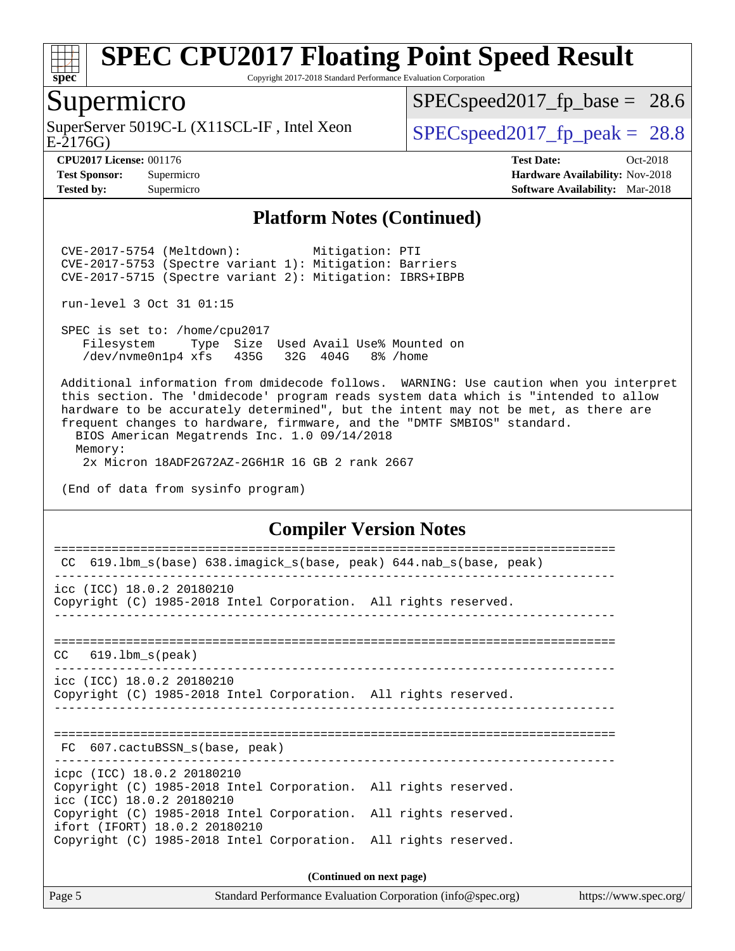

Copyright 2017-2018 Standard Performance Evaluation Corporation

# Supermicro

SuperServer 5019C-L (X11SCL-IF, Intel Xeon<br>E-2176G)

 $SPECspeed2017<sub>fp</sub> base = 28.6$ 

**[Tested by:](http://www.spec.org/auto/cpu2017/Docs/result-fields.html#Testedby)** Supermicro **[Software Availability:](http://www.spec.org/auto/cpu2017/Docs/result-fields.html#SoftwareAvailability)** Mar-2018

 $SPECspeed2017_fp\_peak = 28.8$ 

**[CPU2017 License:](http://www.spec.org/auto/cpu2017/Docs/result-fields.html#CPU2017License)** 001176 **[Test Date:](http://www.spec.org/auto/cpu2017/Docs/result-fields.html#TestDate)** Oct-2018 **[Test Sponsor:](http://www.spec.org/auto/cpu2017/Docs/result-fields.html#TestSponsor)** Supermicro **[Hardware Availability:](http://www.spec.org/auto/cpu2017/Docs/result-fields.html#HardwareAvailability)** Nov-2018

#### **[Platform Notes \(Continued\)](http://www.spec.org/auto/cpu2017/Docs/result-fields.html#PlatformNotes)**

 CVE-2017-5754 (Meltdown): Mitigation: PTI CVE-2017-5753 (Spectre variant 1): Mitigation: Barriers CVE-2017-5715 (Spectre variant 2): Mitigation: IBRS+IBPB

run-level 3 Oct 31 01:15

 SPEC is set to: /home/cpu2017 Filesystem Type Size Used Avail Use% Mounted on /dev/nvme0n1p4 xfs 435G 32G 404G 8% /home

 Additional information from dmidecode follows. WARNING: Use caution when you interpret this section. The 'dmidecode' program reads system data which is "intended to allow hardware to be accurately determined", but the intent may not be met, as there are frequent changes to hardware, firmware, and the "DMTF SMBIOS" standard.

 BIOS American Megatrends Inc. 1.0 09/14/2018 Memory:

2x Micron 18ADF2G72AZ-2G6H1R 16 GB 2 rank 2667

(End of data from sysinfo program)

#### **[Compiler Version Notes](http://www.spec.org/auto/cpu2017/Docs/result-fields.html#CompilerVersionNotes)**

| 619.1bm_s(base) 638.imagick_s(base, peak) 644.nab_s(base, peak)<br>CC                                                      |                          |
|----------------------------------------------------------------------------------------------------------------------------|--------------------------|
|                                                                                                                            |                          |
| icc (ICC) 18.0.2 20180210<br>Copyright (C) 1985-2018 Intel Corporation. All rights reserved.                               |                          |
|                                                                                                                            |                          |
| $CC$ 619.1bm $s$ (peak)                                                                                                    |                          |
| icc (ICC) 18.0.2 20180210<br>Copyright (C) 1985-2018 Intel Corporation. All rights reserved.                               |                          |
| FC 607.cactuBSSN s(base, peak)                                                                                             |                          |
| icpc (ICC) 18.0.2 20180210<br>Copyright (C) 1985-2018 Intel Corporation. All rights reserved.<br>icc (ICC) 18.0.2 20180210 |                          |
| Copyright (C) 1985-2018 Intel Corporation. All rights reserved.<br>ifort (IFORT) 18.0.2 20180210                           |                          |
| Copyright (C) 1985-2018 Intel Corporation. All rights reserved.                                                            |                          |
|                                                                                                                            | (Continued on next page) |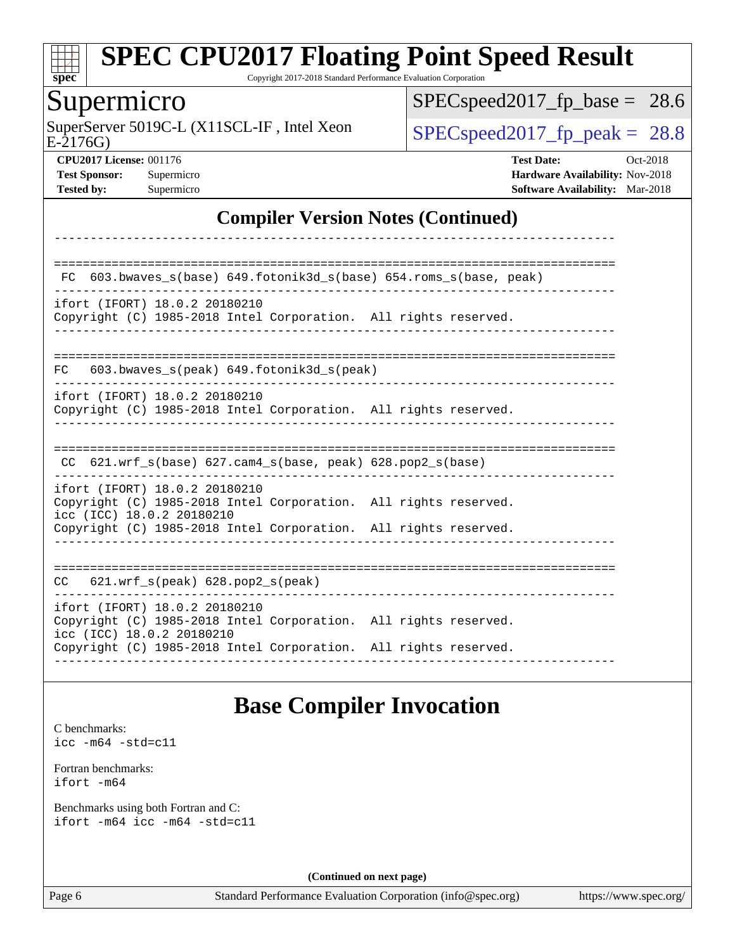

Copyright 2017-2018 Standard Performance Evaluation Corporation

### Supermicro

E-2176G) SuperServer 5019C-L (X11SCL-IF, Intel Xeon  $SPEC speed2017_fp\_peak = 28.8$ 

[SPECspeed2017\\_fp\\_base =](http://www.spec.org/auto/cpu2017/Docs/result-fields.html#SPECspeed2017fpbase) 28.6

**[CPU2017 License:](http://www.spec.org/auto/cpu2017/Docs/result-fields.html#CPU2017License)** 001176 **[Test Date:](http://www.spec.org/auto/cpu2017/Docs/result-fields.html#TestDate)** Oct-2018 **[Test Sponsor:](http://www.spec.org/auto/cpu2017/Docs/result-fields.html#TestSponsor)** Supermicro **[Hardware Availability:](http://www.spec.org/auto/cpu2017/Docs/result-fields.html#HardwareAvailability)** Nov-2018 **[Tested by:](http://www.spec.org/auto/cpu2017/Docs/result-fields.html#Testedby)** Supermicro **[Software Availability:](http://www.spec.org/auto/cpu2017/Docs/result-fields.html#SoftwareAvailability)** Mar-2018

### **[Compiler Version Notes \(Continued\)](http://www.spec.org/auto/cpu2017/Docs/result-fields.html#CompilerVersionNotes)**

| 603.bwaves_s(base) 649.fotonik3d_s(base) 654.roms_s(base, peak)<br>FC.                                                                                                                           |
|--------------------------------------------------------------------------------------------------------------------------------------------------------------------------------------------------|
| ifort (IFORT) 18.0.2 20180210<br>Copyright (C) 1985-2018 Intel Corporation. All rights reserved.                                                                                                 |
| 603.bwaves $s(\text{peak})$ 649.fotonik3d $s(\text{peak})$<br>FC.                                                                                                                                |
| ifort (IFORT) 18.0.2 20180210<br>Copyright (C) 1985-2018 Intel Corporation. All rights reserved.                                                                                                 |
| 621.wrf s(base) 627.cam4 s(base, peak) 628.pop2 s(base)<br>CC                                                                                                                                    |
| ifort (IFORT) 18.0.2 20180210<br>Copyright (C) 1985-2018 Intel Corporation. All rights reserved.<br>icc (ICC) 18.0.2 20180210<br>Copyright (C) 1985-2018 Intel Corporation. All rights reserved. |
| $621.wrf$ s(peak) $628.pop2$ s(peak)<br>CC                                                                                                                                                       |
| ifort (IFORT) 18.0.2 20180210<br>Copyright (C) 1985-2018 Intel Corporation. All rights reserved.<br>icc (ICC) 18.0.2 20180210<br>Copyright (C) 1985-2018 Intel Corporation. All rights reserved. |

# **[Base Compiler Invocation](http://www.spec.org/auto/cpu2017/Docs/result-fields.html#BaseCompilerInvocation)**

[C benchmarks](http://www.spec.org/auto/cpu2017/Docs/result-fields.html#Cbenchmarks): [icc -m64 -std=c11](http://www.spec.org/cpu2017/results/res2018q4/cpu2017-20181112-09574.flags.html#user_CCbase_intel_icc_64bit_c11_33ee0cdaae7deeeab2a9725423ba97205ce30f63b9926c2519791662299b76a0318f32ddfffdc46587804de3178b4f9328c46fa7c2b0cd779d7a61945c91cd35)

[Fortran benchmarks](http://www.spec.org/auto/cpu2017/Docs/result-fields.html#Fortranbenchmarks): [ifort -m64](http://www.spec.org/cpu2017/results/res2018q4/cpu2017-20181112-09574.flags.html#user_FCbase_intel_ifort_64bit_24f2bb282fbaeffd6157abe4f878425411749daecae9a33200eee2bee2fe76f3b89351d69a8130dd5949958ce389cf37ff59a95e7a40d588e8d3a57e0c3fd751)

[Benchmarks using both Fortran and C](http://www.spec.org/auto/cpu2017/Docs/result-fields.html#BenchmarksusingbothFortranandC): [ifort -m64](http://www.spec.org/cpu2017/results/res2018q4/cpu2017-20181112-09574.flags.html#user_CC_FCbase_intel_ifort_64bit_24f2bb282fbaeffd6157abe4f878425411749daecae9a33200eee2bee2fe76f3b89351d69a8130dd5949958ce389cf37ff59a95e7a40d588e8d3a57e0c3fd751) [icc -m64 -std=c11](http://www.spec.org/cpu2017/results/res2018q4/cpu2017-20181112-09574.flags.html#user_CC_FCbase_intel_icc_64bit_c11_33ee0cdaae7deeeab2a9725423ba97205ce30f63b9926c2519791662299b76a0318f32ddfffdc46587804de3178b4f9328c46fa7c2b0cd779d7a61945c91cd35)

**(Continued on next page)**

Page 6 Standard Performance Evaluation Corporation [\(info@spec.org\)](mailto:info@spec.org) <https://www.spec.org/>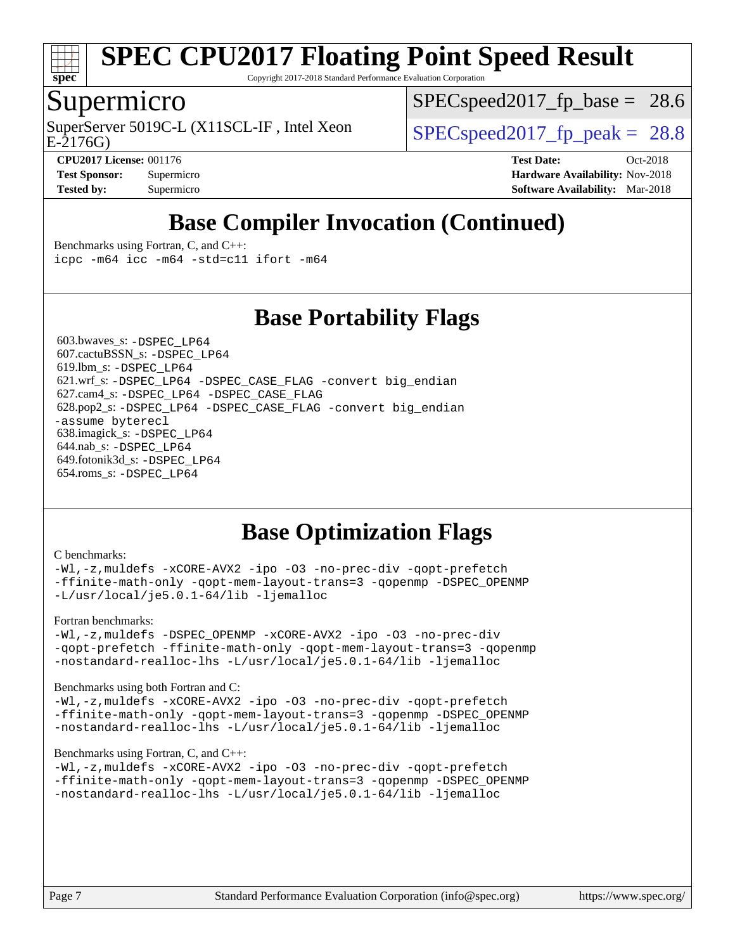

Copyright 2017-2018 Standard Performance Evaluation Corporation

### Supermicro

E-2176G) SuperServer 5019C-L (X11SCL-IF, Intel Xeon  $SPEC speed2017$  fp\_peak = 28.8

 $SPECspeed2017<sub>fp</sub> base = 28.6$ 

**[CPU2017 License:](http://www.spec.org/auto/cpu2017/Docs/result-fields.html#CPU2017License)** 001176 **[Test Date:](http://www.spec.org/auto/cpu2017/Docs/result-fields.html#TestDate)** Oct-2018 **[Test Sponsor:](http://www.spec.org/auto/cpu2017/Docs/result-fields.html#TestSponsor)** Supermicro **[Hardware Availability:](http://www.spec.org/auto/cpu2017/Docs/result-fields.html#HardwareAvailability)** Nov-2018 **[Tested by:](http://www.spec.org/auto/cpu2017/Docs/result-fields.html#Testedby)** Supermicro **[Software Availability:](http://www.spec.org/auto/cpu2017/Docs/result-fields.html#SoftwareAvailability)** Mar-2018

# **[Base Compiler Invocation \(Continued\)](http://www.spec.org/auto/cpu2017/Docs/result-fields.html#BaseCompilerInvocation)**

[Benchmarks using Fortran, C, and C++:](http://www.spec.org/auto/cpu2017/Docs/result-fields.html#BenchmarksusingFortranCandCXX) [icpc -m64](http://www.spec.org/cpu2017/results/res2018q4/cpu2017-20181112-09574.flags.html#user_CC_CXX_FCbase_intel_icpc_64bit_4ecb2543ae3f1412ef961e0650ca070fec7b7afdcd6ed48761b84423119d1bf6bdf5cad15b44d48e7256388bc77273b966e5eb805aefd121eb22e9299b2ec9d9) [icc -m64 -std=c11](http://www.spec.org/cpu2017/results/res2018q4/cpu2017-20181112-09574.flags.html#user_CC_CXX_FCbase_intel_icc_64bit_c11_33ee0cdaae7deeeab2a9725423ba97205ce30f63b9926c2519791662299b76a0318f32ddfffdc46587804de3178b4f9328c46fa7c2b0cd779d7a61945c91cd35) [ifort -m64](http://www.spec.org/cpu2017/results/res2018q4/cpu2017-20181112-09574.flags.html#user_CC_CXX_FCbase_intel_ifort_64bit_24f2bb282fbaeffd6157abe4f878425411749daecae9a33200eee2bee2fe76f3b89351d69a8130dd5949958ce389cf37ff59a95e7a40d588e8d3a57e0c3fd751)

**[Base Portability Flags](http://www.spec.org/auto/cpu2017/Docs/result-fields.html#BasePortabilityFlags)**

 603.bwaves\_s: [-DSPEC\\_LP64](http://www.spec.org/cpu2017/results/res2018q4/cpu2017-20181112-09574.flags.html#suite_basePORTABILITY603_bwaves_s_DSPEC_LP64) 607.cactuBSSN\_s: [-DSPEC\\_LP64](http://www.spec.org/cpu2017/results/res2018q4/cpu2017-20181112-09574.flags.html#suite_basePORTABILITY607_cactuBSSN_s_DSPEC_LP64) 619.lbm\_s: [-DSPEC\\_LP64](http://www.spec.org/cpu2017/results/res2018q4/cpu2017-20181112-09574.flags.html#suite_basePORTABILITY619_lbm_s_DSPEC_LP64) 621.wrf\_s: [-DSPEC\\_LP64](http://www.spec.org/cpu2017/results/res2018q4/cpu2017-20181112-09574.flags.html#suite_basePORTABILITY621_wrf_s_DSPEC_LP64) [-DSPEC\\_CASE\\_FLAG](http://www.spec.org/cpu2017/results/res2018q4/cpu2017-20181112-09574.flags.html#b621.wrf_s_baseCPORTABILITY_DSPEC_CASE_FLAG) [-convert big\\_endian](http://www.spec.org/cpu2017/results/res2018q4/cpu2017-20181112-09574.flags.html#user_baseFPORTABILITY621_wrf_s_convert_big_endian_c3194028bc08c63ac5d04de18c48ce6d347e4e562e8892b8bdbdc0214820426deb8554edfa529a3fb25a586e65a3d812c835984020483e7e73212c4d31a38223) 627.cam4\_s: [-DSPEC\\_LP64](http://www.spec.org/cpu2017/results/res2018q4/cpu2017-20181112-09574.flags.html#suite_basePORTABILITY627_cam4_s_DSPEC_LP64) [-DSPEC\\_CASE\\_FLAG](http://www.spec.org/cpu2017/results/res2018q4/cpu2017-20181112-09574.flags.html#b627.cam4_s_baseCPORTABILITY_DSPEC_CASE_FLAG) 628.pop2\_s: [-DSPEC\\_LP64](http://www.spec.org/cpu2017/results/res2018q4/cpu2017-20181112-09574.flags.html#suite_basePORTABILITY628_pop2_s_DSPEC_LP64) [-DSPEC\\_CASE\\_FLAG](http://www.spec.org/cpu2017/results/res2018q4/cpu2017-20181112-09574.flags.html#b628.pop2_s_baseCPORTABILITY_DSPEC_CASE_FLAG) [-convert big\\_endian](http://www.spec.org/cpu2017/results/res2018q4/cpu2017-20181112-09574.flags.html#user_baseFPORTABILITY628_pop2_s_convert_big_endian_c3194028bc08c63ac5d04de18c48ce6d347e4e562e8892b8bdbdc0214820426deb8554edfa529a3fb25a586e65a3d812c835984020483e7e73212c4d31a38223) [-assume byterecl](http://www.spec.org/cpu2017/results/res2018q4/cpu2017-20181112-09574.flags.html#user_baseFPORTABILITY628_pop2_s_assume_byterecl_7e47d18b9513cf18525430bbf0f2177aa9bf368bc7a059c09b2c06a34b53bd3447c950d3f8d6c70e3faf3a05c8557d66a5798b567902e8849adc142926523472) 638.imagick\_s: [-DSPEC\\_LP64](http://www.spec.org/cpu2017/results/res2018q4/cpu2017-20181112-09574.flags.html#suite_basePORTABILITY638_imagick_s_DSPEC_LP64) 644.nab\_s: [-DSPEC\\_LP64](http://www.spec.org/cpu2017/results/res2018q4/cpu2017-20181112-09574.flags.html#suite_basePORTABILITY644_nab_s_DSPEC_LP64) 649.fotonik3d\_s: [-DSPEC\\_LP64](http://www.spec.org/cpu2017/results/res2018q4/cpu2017-20181112-09574.flags.html#suite_basePORTABILITY649_fotonik3d_s_DSPEC_LP64) 654.roms\_s: [-DSPEC\\_LP64](http://www.spec.org/cpu2017/results/res2018q4/cpu2017-20181112-09574.flags.html#suite_basePORTABILITY654_roms_s_DSPEC_LP64)

# **[Base Optimization Flags](http://www.spec.org/auto/cpu2017/Docs/result-fields.html#BaseOptimizationFlags)**

#### [C benchmarks](http://www.spec.org/auto/cpu2017/Docs/result-fields.html#Cbenchmarks):

[-Wl,-z,muldefs](http://www.spec.org/cpu2017/results/res2018q4/cpu2017-20181112-09574.flags.html#user_CCbase_link_force_multiple1_b4cbdb97b34bdee9ceefcfe54f4c8ea74255f0b02a4b23e853cdb0e18eb4525ac79b5a88067c842dd0ee6996c24547a27a4b99331201badda8798ef8a743f577) [-xCORE-AVX2](http://www.spec.org/cpu2017/results/res2018q4/cpu2017-20181112-09574.flags.html#user_CCbase_f-xCORE-AVX2) [-ipo](http://www.spec.org/cpu2017/results/res2018q4/cpu2017-20181112-09574.flags.html#user_CCbase_f-ipo) [-O3](http://www.spec.org/cpu2017/results/res2018q4/cpu2017-20181112-09574.flags.html#user_CCbase_f-O3) [-no-prec-div](http://www.spec.org/cpu2017/results/res2018q4/cpu2017-20181112-09574.flags.html#user_CCbase_f-no-prec-div) [-qopt-prefetch](http://www.spec.org/cpu2017/results/res2018q4/cpu2017-20181112-09574.flags.html#user_CCbase_f-qopt-prefetch) [-ffinite-math-only](http://www.spec.org/cpu2017/results/res2018q4/cpu2017-20181112-09574.flags.html#user_CCbase_f_finite_math_only_cb91587bd2077682c4b38af759c288ed7c732db004271a9512da14a4f8007909a5f1427ecbf1a0fb78ff2a814402c6114ac565ca162485bbcae155b5e4258871) [-qopt-mem-layout-trans=3](http://www.spec.org/cpu2017/results/res2018q4/cpu2017-20181112-09574.flags.html#user_CCbase_f-qopt-mem-layout-trans_de80db37974c74b1f0e20d883f0b675c88c3b01e9d123adea9b28688d64333345fb62bc4a798493513fdb68f60282f9a726aa07f478b2f7113531aecce732043) [-qopenmp](http://www.spec.org/cpu2017/results/res2018q4/cpu2017-20181112-09574.flags.html#user_CCbase_qopenmp_16be0c44f24f464004c6784a7acb94aca937f053568ce72f94b139a11c7c168634a55f6653758ddd83bcf7b8463e8028bb0b48b77bcddc6b78d5d95bb1df2967) [-DSPEC\\_OPENMP](http://www.spec.org/cpu2017/results/res2018q4/cpu2017-20181112-09574.flags.html#suite_CCbase_DSPEC_OPENMP) [-L/usr/local/je5.0.1-64/lib](http://www.spec.org/cpu2017/results/res2018q4/cpu2017-20181112-09574.flags.html#user_CCbase_jemalloc_link_path64_4b10a636b7bce113509b17f3bd0d6226c5fb2346b9178c2d0232c14f04ab830f976640479e5c33dc2bcbbdad86ecfb6634cbbd4418746f06f368b512fced5394) [-ljemalloc](http://www.spec.org/cpu2017/results/res2018q4/cpu2017-20181112-09574.flags.html#user_CCbase_jemalloc_link_lib_d1249b907c500fa1c0672f44f562e3d0f79738ae9e3c4a9c376d49f265a04b9c99b167ecedbf6711b3085be911c67ff61f150a17b3472be731631ba4d0471706)

[Fortran benchmarks](http://www.spec.org/auto/cpu2017/Docs/result-fields.html#Fortranbenchmarks):

[-Wl,-z,muldefs](http://www.spec.org/cpu2017/results/res2018q4/cpu2017-20181112-09574.flags.html#user_FCbase_link_force_multiple1_b4cbdb97b34bdee9ceefcfe54f4c8ea74255f0b02a4b23e853cdb0e18eb4525ac79b5a88067c842dd0ee6996c24547a27a4b99331201badda8798ef8a743f577) [-DSPEC\\_OPENMP](http://www.spec.org/cpu2017/results/res2018q4/cpu2017-20181112-09574.flags.html#suite_FCbase_DSPEC_OPENMP) [-xCORE-AVX2](http://www.spec.org/cpu2017/results/res2018q4/cpu2017-20181112-09574.flags.html#user_FCbase_f-xCORE-AVX2) [-ipo](http://www.spec.org/cpu2017/results/res2018q4/cpu2017-20181112-09574.flags.html#user_FCbase_f-ipo) [-O3](http://www.spec.org/cpu2017/results/res2018q4/cpu2017-20181112-09574.flags.html#user_FCbase_f-O3) [-no-prec-div](http://www.spec.org/cpu2017/results/res2018q4/cpu2017-20181112-09574.flags.html#user_FCbase_f-no-prec-div) [-qopt-prefetch](http://www.spec.org/cpu2017/results/res2018q4/cpu2017-20181112-09574.flags.html#user_FCbase_f-qopt-prefetch) [-ffinite-math-only](http://www.spec.org/cpu2017/results/res2018q4/cpu2017-20181112-09574.flags.html#user_FCbase_f_finite_math_only_cb91587bd2077682c4b38af759c288ed7c732db004271a9512da14a4f8007909a5f1427ecbf1a0fb78ff2a814402c6114ac565ca162485bbcae155b5e4258871) [-qopt-mem-layout-trans=3](http://www.spec.org/cpu2017/results/res2018q4/cpu2017-20181112-09574.flags.html#user_FCbase_f-qopt-mem-layout-trans_de80db37974c74b1f0e20d883f0b675c88c3b01e9d123adea9b28688d64333345fb62bc4a798493513fdb68f60282f9a726aa07f478b2f7113531aecce732043) [-qopenmp](http://www.spec.org/cpu2017/results/res2018q4/cpu2017-20181112-09574.flags.html#user_FCbase_qopenmp_16be0c44f24f464004c6784a7acb94aca937f053568ce72f94b139a11c7c168634a55f6653758ddd83bcf7b8463e8028bb0b48b77bcddc6b78d5d95bb1df2967) [-nostandard-realloc-lhs](http://www.spec.org/cpu2017/results/res2018q4/cpu2017-20181112-09574.flags.html#user_FCbase_f_2003_std_realloc_82b4557e90729c0f113870c07e44d33d6f5a304b4f63d4c15d2d0f1fab99f5daaed73bdb9275d9ae411527f28b936061aa8b9c8f2d63842963b95c9dd6426b8a) [-L/usr/local/je5.0.1-64/lib](http://www.spec.org/cpu2017/results/res2018q4/cpu2017-20181112-09574.flags.html#user_FCbase_jemalloc_link_path64_4b10a636b7bce113509b17f3bd0d6226c5fb2346b9178c2d0232c14f04ab830f976640479e5c33dc2bcbbdad86ecfb6634cbbd4418746f06f368b512fced5394) [-ljemalloc](http://www.spec.org/cpu2017/results/res2018q4/cpu2017-20181112-09574.flags.html#user_FCbase_jemalloc_link_lib_d1249b907c500fa1c0672f44f562e3d0f79738ae9e3c4a9c376d49f265a04b9c99b167ecedbf6711b3085be911c67ff61f150a17b3472be731631ba4d0471706)

[Benchmarks using both Fortran and C](http://www.spec.org/auto/cpu2017/Docs/result-fields.html#BenchmarksusingbothFortranandC):

[-Wl,-z,muldefs](http://www.spec.org/cpu2017/results/res2018q4/cpu2017-20181112-09574.flags.html#user_CC_FCbase_link_force_multiple1_b4cbdb97b34bdee9ceefcfe54f4c8ea74255f0b02a4b23e853cdb0e18eb4525ac79b5a88067c842dd0ee6996c24547a27a4b99331201badda8798ef8a743f577) [-xCORE-AVX2](http://www.spec.org/cpu2017/results/res2018q4/cpu2017-20181112-09574.flags.html#user_CC_FCbase_f-xCORE-AVX2) [-ipo](http://www.spec.org/cpu2017/results/res2018q4/cpu2017-20181112-09574.flags.html#user_CC_FCbase_f-ipo) [-O3](http://www.spec.org/cpu2017/results/res2018q4/cpu2017-20181112-09574.flags.html#user_CC_FCbase_f-O3) [-no-prec-div](http://www.spec.org/cpu2017/results/res2018q4/cpu2017-20181112-09574.flags.html#user_CC_FCbase_f-no-prec-div) [-qopt-prefetch](http://www.spec.org/cpu2017/results/res2018q4/cpu2017-20181112-09574.flags.html#user_CC_FCbase_f-qopt-prefetch) [-ffinite-math-only](http://www.spec.org/cpu2017/results/res2018q4/cpu2017-20181112-09574.flags.html#user_CC_FCbase_f_finite_math_only_cb91587bd2077682c4b38af759c288ed7c732db004271a9512da14a4f8007909a5f1427ecbf1a0fb78ff2a814402c6114ac565ca162485bbcae155b5e4258871) [-qopt-mem-layout-trans=3](http://www.spec.org/cpu2017/results/res2018q4/cpu2017-20181112-09574.flags.html#user_CC_FCbase_f-qopt-mem-layout-trans_de80db37974c74b1f0e20d883f0b675c88c3b01e9d123adea9b28688d64333345fb62bc4a798493513fdb68f60282f9a726aa07f478b2f7113531aecce732043) [-qopenmp](http://www.spec.org/cpu2017/results/res2018q4/cpu2017-20181112-09574.flags.html#user_CC_FCbase_qopenmp_16be0c44f24f464004c6784a7acb94aca937f053568ce72f94b139a11c7c168634a55f6653758ddd83bcf7b8463e8028bb0b48b77bcddc6b78d5d95bb1df2967) [-DSPEC\\_OPENMP](http://www.spec.org/cpu2017/results/res2018q4/cpu2017-20181112-09574.flags.html#suite_CC_FCbase_DSPEC_OPENMP) [-nostandard-realloc-lhs](http://www.spec.org/cpu2017/results/res2018q4/cpu2017-20181112-09574.flags.html#user_CC_FCbase_f_2003_std_realloc_82b4557e90729c0f113870c07e44d33d6f5a304b4f63d4c15d2d0f1fab99f5daaed73bdb9275d9ae411527f28b936061aa8b9c8f2d63842963b95c9dd6426b8a) [-L/usr/local/je5.0.1-64/lib](http://www.spec.org/cpu2017/results/res2018q4/cpu2017-20181112-09574.flags.html#user_CC_FCbase_jemalloc_link_path64_4b10a636b7bce113509b17f3bd0d6226c5fb2346b9178c2d0232c14f04ab830f976640479e5c33dc2bcbbdad86ecfb6634cbbd4418746f06f368b512fced5394) [-ljemalloc](http://www.spec.org/cpu2017/results/res2018q4/cpu2017-20181112-09574.flags.html#user_CC_FCbase_jemalloc_link_lib_d1249b907c500fa1c0672f44f562e3d0f79738ae9e3c4a9c376d49f265a04b9c99b167ecedbf6711b3085be911c67ff61f150a17b3472be731631ba4d0471706)

#### [Benchmarks using Fortran, C, and C++:](http://www.spec.org/auto/cpu2017/Docs/result-fields.html#BenchmarksusingFortranCandCXX)

[-Wl,-z,muldefs](http://www.spec.org/cpu2017/results/res2018q4/cpu2017-20181112-09574.flags.html#user_CC_CXX_FCbase_link_force_multiple1_b4cbdb97b34bdee9ceefcfe54f4c8ea74255f0b02a4b23e853cdb0e18eb4525ac79b5a88067c842dd0ee6996c24547a27a4b99331201badda8798ef8a743f577) [-xCORE-AVX2](http://www.spec.org/cpu2017/results/res2018q4/cpu2017-20181112-09574.flags.html#user_CC_CXX_FCbase_f-xCORE-AVX2) [-ipo](http://www.spec.org/cpu2017/results/res2018q4/cpu2017-20181112-09574.flags.html#user_CC_CXX_FCbase_f-ipo) [-O3](http://www.spec.org/cpu2017/results/res2018q4/cpu2017-20181112-09574.flags.html#user_CC_CXX_FCbase_f-O3) [-no-prec-div](http://www.spec.org/cpu2017/results/res2018q4/cpu2017-20181112-09574.flags.html#user_CC_CXX_FCbase_f-no-prec-div) [-qopt-prefetch](http://www.spec.org/cpu2017/results/res2018q4/cpu2017-20181112-09574.flags.html#user_CC_CXX_FCbase_f-qopt-prefetch) [-ffinite-math-only](http://www.spec.org/cpu2017/results/res2018q4/cpu2017-20181112-09574.flags.html#user_CC_CXX_FCbase_f_finite_math_only_cb91587bd2077682c4b38af759c288ed7c732db004271a9512da14a4f8007909a5f1427ecbf1a0fb78ff2a814402c6114ac565ca162485bbcae155b5e4258871) [-qopt-mem-layout-trans=3](http://www.spec.org/cpu2017/results/res2018q4/cpu2017-20181112-09574.flags.html#user_CC_CXX_FCbase_f-qopt-mem-layout-trans_de80db37974c74b1f0e20d883f0b675c88c3b01e9d123adea9b28688d64333345fb62bc4a798493513fdb68f60282f9a726aa07f478b2f7113531aecce732043) [-qopenmp](http://www.spec.org/cpu2017/results/res2018q4/cpu2017-20181112-09574.flags.html#user_CC_CXX_FCbase_qopenmp_16be0c44f24f464004c6784a7acb94aca937f053568ce72f94b139a11c7c168634a55f6653758ddd83bcf7b8463e8028bb0b48b77bcddc6b78d5d95bb1df2967) [-DSPEC\\_OPENMP](http://www.spec.org/cpu2017/results/res2018q4/cpu2017-20181112-09574.flags.html#suite_CC_CXX_FCbase_DSPEC_OPENMP) [-nostandard-realloc-lhs](http://www.spec.org/cpu2017/results/res2018q4/cpu2017-20181112-09574.flags.html#user_CC_CXX_FCbase_f_2003_std_realloc_82b4557e90729c0f113870c07e44d33d6f5a304b4f63d4c15d2d0f1fab99f5daaed73bdb9275d9ae411527f28b936061aa8b9c8f2d63842963b95c9dd6426b8a) [-L/usr/local/je5.0.1-64/lib](http://www.spec.org/cpu2017/results/res2018q4/cpu2017-20181112-09574.flags.html#user_CC_CXX_FCbase_jemalloc_link_path64_4b10a636b7bce113509b17f3bd0d6226c5fb2346b9178c2d0232c14f04ab830f976640479e5c33dc2bcbbdad86ecfb6634cbbd4418746f06f368b512fced5394) [-ljemalloc](http://www.spec.org/cpu2017/results/res2018q4/cpu2017-20181112-09574.flags.html#user_CC_CXX_FCbase_jemalloc_link_lib_d1249b907c500fa1c0672f44f562e3d0f79738ae9e3c4a9c376d49f265a04b9c99b167ecedbf6711b3085be911c67ff61f150a17b3472be731631ba4d0471706)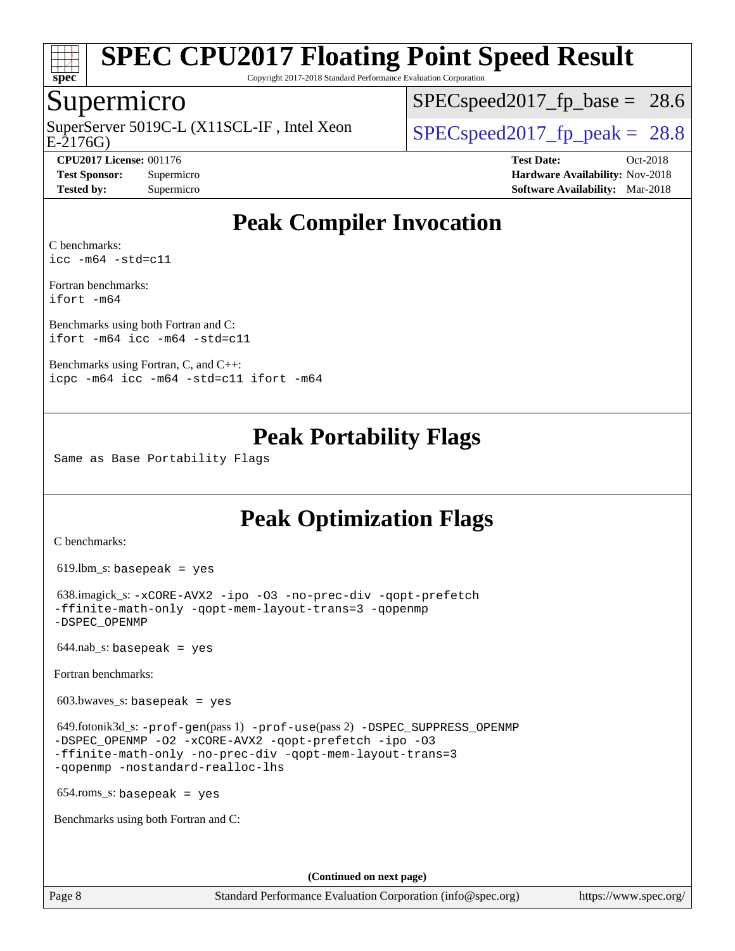

Copyright 2017-2018 Standard Performance Evaluation Corporation

### Supermicro

E-2176G) SuperServer 5019C-L (X11SCL-IF, Intel Xeon  $\vert$  [SPECspeed2017\\_fp\\_peak =](http://www.spec.org/auto/cpu2017/Docs/result-fields.html#SPECspeed2017fppeak) 28.8

 $SPECspeed2017<sub>fp</sub> base = 28.6$ 

**[CPU2017 License:](http://www.spec.org/auto/cpu2017/Docs/result-fields.html#CPU2017License)** 001176 **[Test Date:](http://www.spec.org/auto/cpu2017/Docs/result-fields.html#TestDate)** Oct-2018 **[Test Sponsor:](http://www.spec.org/auto/cpu2017/Docs/result-fields.html#TestSponsor)** Supermicro **[Hardware Availability:](http://www.spec.org/auto/cpu2017/Docs/result-fields.html#HardwareAvailability)** Nov-2018 **[Tested by:](http://www.spec.org/auto/cpu2017/Docs/result-fields.html#Testedby)** Supermicro **[Software Availability:](http://www.spec.org/auto/cpu2017/Docs/result-fields.html#SoftwareAvailability)** Mar-2018

# **[Peak Compiler Invocation](http://www.spec.org/auto/cpu2017/Docs/result-fields.html#PeakCompilerInvocation)**

[C benchmarks](http://www.spec.org/auto/cpu2017/Docs/result-fields.html#Cbenchmarks): [icc -m64 -std=c11](http://www.spec.org/cpu2017/results/res2018q4/cpu2017-20181112-09574.flags.html#user_CCpeak_intel_icc_64bit_c11_33ee0cdaae7deeeab2a9725423ba97205ce30f63b9926c2519791662299b76a0318f32ddfffdc46587804de3178b4f9328c46fa7c2b0cd779d7a61945c91cd35)

[Fortran benchmarks](http://www.spec.org/auto/cpu2017/Docs/result-fields.html#Fortranbenchmarks): [ifort -m64](http://www.spec.org/cpu2017/results/res2018q4/cpu2017-20181112-09574.flags.html#user_FCpeak_intel_ifort_64bit_24f2bb282fbaeffd6157abe4f878425411749daecae9a33200eee2bee2fe76f3b89351d69a8130dd5949958ce389cf37ff59a95e7a40d588e8d3a57e0c3fd751)

[Benchmarks using both Fortran and C](http://www.spec.org/auto/cpu2017/Docs/result-fields.html#BenchmarksusingbothFortranandC): [ifort -m64](http://www.spec.org/cpu2017/results/res2018q4/cpu2017-20181112-09574.flags.html#user_CC_FCpeak_intel_ifort_64bit_24f2bb282fbaeffd6157abe4f878425411749daecae9a33200eee2bee2fe76f3b89351d69a8130dd5949958ce389cf37ff59a95e7a40d588e8d3a57e0c3fd751) [icc -m64 -std=c11](http://www.spec.org/cpu2017/results/res2018q4/cpu2017-20181112-09574.flags.html#user_CC_FCpeak_intel_icc_64bit_c11_33ee0cdaae7deeeab2a9725423ba97205ce30f63b9926c2519791662299b76a0318f32ddfffdc46587804de3178b4f9328c46fa7c2b0cd779d7a61945c91cd35)

[Benchmarks using Fortran, C, and C++:](http://www.spec.org/auto/cpu2017/Docs/result-fields.html#BenchmarksusingFortranCandCXX) [icpc -m64](http://www.spec.org/cpu2017/results/res2018q4/cpu2017-20181112-09574.flags.html#user_CC_CXX_FCpeak_intel_icpc_64bit_4ecb2543ae3f1412ef961e0650ca070fec7b7afdcd6ed48761b84423119d1bf6bdf5cad15b44d48e7256388bc77273b966e5eb805aefd121eb22e9299b2ec9d9) [icc -m64 -std=c11](http://www.spec.org/cpu2017/results/res2018q4/cpu2017-20181112-09574.flags.html#user_CC_CXX_FCpeak_intel_icc_64bit_c11_33ee0cdaae7deeeab2a9725423ba97205ce30f63b9926c2519791662299b76a0318f32ddfffdc46587804de3178b4f9328c46fa7c2b0cd779d7a61945c91cd35) [ifort -m64](http://www.spec.org/cpu2017/results/res2018q4/cpu2017-20181112-09574.flags.html#user_CC_CXX_FCpeak_intel_ifort_64bit_24f2bb282fbaeffd6157abe4f878425411749daecae9a33200eee2bee2fe76f3b89351d69a8130dd5949958ce389cf37ff59a95e7a40d588e8d3a57e0c3fd751)

# **[Peak Portability Flags](http://www.spec.org/auto/cpu2017/Docs/result-fields.html#PeakPortabilityFlags)**

Same as Base Portability Flags

# **[Peak Optimization Flags](http://www.spec.org/auto/cpu2017/Docs/result-fields.html#PeakOptimizationFlags)**

[C benchmarks](http://www.spec.org/auto/cpu2017/Docs/result-fields.html#Cbenchmarks):

619.lbm\_s: basepeak = yes

```
 638.imagick_s: -xCORE-AVX2 -ipo -O3 -no-prec-div -qopt-prefetch
-ffinite-math-only -qopt-mem-layout-trans=3 -qopenmp
-DSPEC_OPENMP
```
 $644.nab$ <sub>S</sub>: basepeak = yes

[Fortran benchmarks](http://www.spec.org/auto/cpu2017/Docs/result-fields.html#Fortranbenchmarks):

 $603.bwaves$  s: basepeak = yes

```
 649.fotonik3d_s: -prof-gen(pass 1) -prof-use(pass 2) -DSPEC_SUPPRESS_OPENMP
-DSPEC_OPENMP -O2 -xCORE-AVX2 -qopt-prefetch -ipo -O3
-ffinite-math-only -no-prec-div -qopt-mem-layout-trans=3
-qopenmp -nostandard-realloc-lhs
```
654.roms\_s: basepeak = yes

[Benchmarks using both Fortran and C](http://www.spec.org/auto/cpu2017/Docs/result-fields.html#BenchmarksusingbothFortranandC):

**(Continued on next page)**